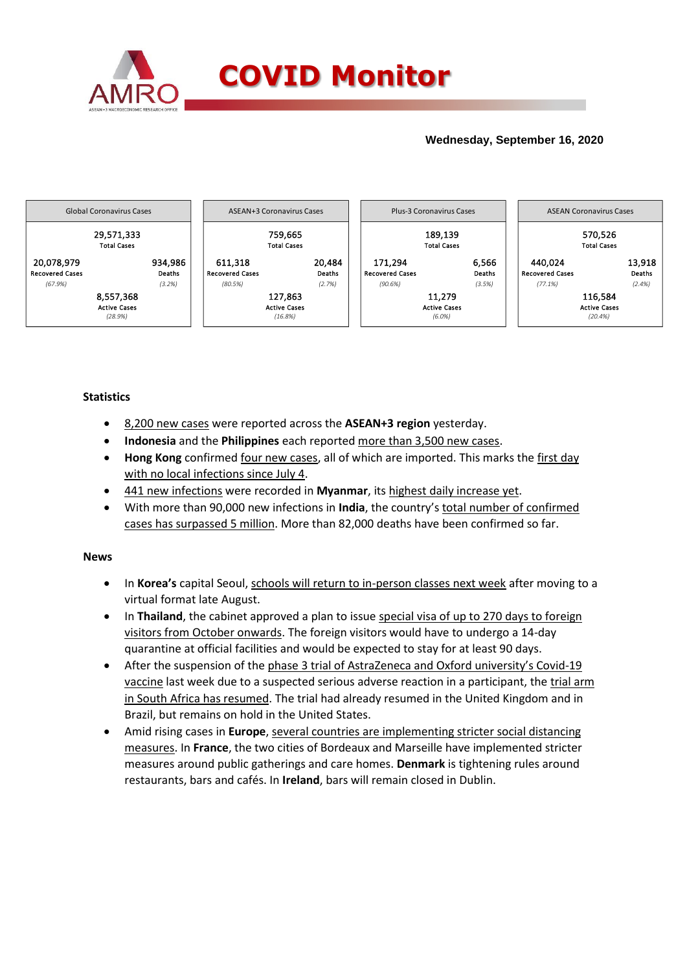

## **Wednesday, September 16, 2020**



## **Statistics**

- 8,200 new cases were reported across the **ASEAN+3 region** yesterday.
- **Indonesia** and the **Philippines** each reported more than 3,500 new cases.
- **Hong Kong** confirmed four new cases, all of which are imported. This marks the first day with no local infections since July 4.
- 441 new infections were recorded in **Myanmar**, its highest daily increase yet.
- With more than 90,000 new infections in **India**, the country's total number of confirmed cases has surpassed 5 million. More than 82,000 deaths have been confirmed so far.

## **News**

- In **Korea's** capital Seoul, schools will return to in-person classes next week after moving to a virtual format late August.
- In **Thailand**, the cabinet approved a plan to issue special visa of up to 270 days to foreign visitors from October onwards. The foreign visitors would have to undergo a 14-day quarantine at official facilities and would be expected to stay for at least 90 days.
- After the suspension of the phase 3 trial of AstraZeneca and Oxford university's Covid-19 vaccine last week due to a suspected serious adverse reaction in a participant, the trial arm in South Africa has resumed. The trial had already resumed in the United Kingdom and in Brazil, but remains on hold in the United States.
- Amid rising cases in **Europe**, several countries are implementing stricter social distancing measures. In **France**, the two cities of Bordeaux and Marseille have implemented stricter measures around public gatherings and care homes. **Denmark** is tightening rules around restaurants, bars and cafés. In **Ireland**, bars will remain closed in Dublin.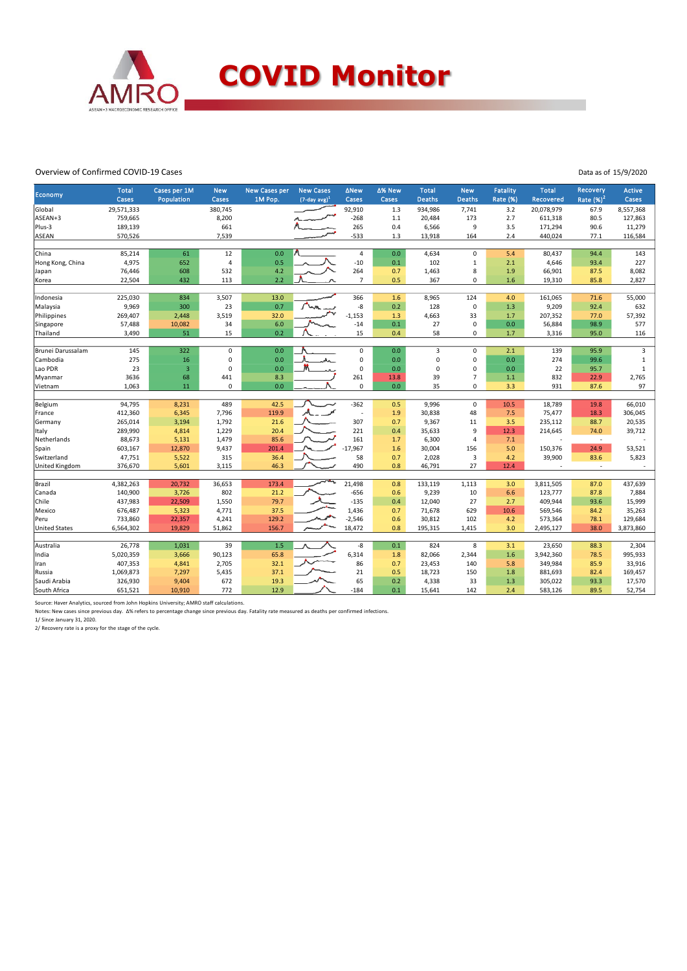

## Overview of Confirmed COVID-19 Cases

Data as of 15/9/2020

| Economy               | <b>Total</b><br>Cases | Cases per 1M<br>Population | <b>New</b><br>Cases | <b>New Cases per</b><br>1M Pop. | <b>New Cases</b><br>$(7$ -day avg) <sup>1</sup> | <b>ANew</b><br>Cases     | ∆% New<br>Cases | <b>Total</b><br><b>Deaths</b> | <b>New</b><br><b>Deaths</b> | <b>Fatality</b><br>Rate (%) | <b>Total</b><br>Recovered | Recovery<br>Rate $(%)2$          | Active<br>Cases |
|-----------------------|-----------------------|----------------------------|---------------------|---------------------------------|-------------------------------------------------|--------------------------|-----------------|-------------------------------|-----------------------------|-----------------------------|---------------------------|----------------------------------|-----------------|
|                       |                       |                            |                     |                                 |                                                 |                          |                 |                               |                             |                             |                           |                                  |                 |
| Global                | 29,571,333            |                            | 380,745<br>8,200    |                                 |                                                 | 92,910                   | 1.3             | 934,986                       | 7,741                       | 3.2                         | 20,078,979                | 67.9                             | 8,557,368       |
| ASEAN+3               | 759,665               |                            |                     |                                 |                                                 | $-268$                   | $1.1$           | 20,484                        | 173                         | 2.7                         | 611,318                   | 80.5                             | 127,863         |
| Plus-3                | 189,139               |                            | 661                 |                                 |                                                 | 265                      | 0.4             | 6,566                         | 9                           | 3.5                         | 171,294                   | 90.6                             | 11,279          |
| <b>ASEAN</b>          | 570,526               |                            | 7,539               |                                 |                                                 | $-533$                   | 1.3             | 13,918                        | 164                         | 2.4                         | 440,024                   | 77.1                             | 116,584         |
| China                 | 85,214                | 61                         | 12                  | 0.0                             |                                                 | $\pmb{4}$                | 0.0             | 4,634                         | $\mathbf 0$                 | 5.4                         | 80,437                    | 94.4                             | 143             |
| Hong Kong, China      | 4,975                 | 652                        | $\overline{4}$      | 0.5                             |                                                 | $-10$                    | 0.1             | 102                           | $\,1\,$                     | 2.1                         | 4,646                     | 93.4                             | 227             |
| Japan                 | 76,446                | 608                        | 532                 | 4.2                             |                                                 | 264                      | 0.7             | 1,463                         | 8                           | 1.9                         | 66,901                    | 87.5                             | 8,082           |
| Korea                 | 22,504                | 432                        | 113                 | 2.2                             |                                                 | $\overline{7}$           | 0.5             | 367                           | $\mathbf 0$                 | 1.6                         | 19,310                    | 85.8                             | 2,827           |
| Indonesia             | 225,030               | 834                        | 3,507               | 13.0                            |                                                 | 366                      | 1.6             | 8,965                         | 124                         | 4.0                         | 161,065                   | 71.6                             | 55,000          |
| Malaysia              | 9,969                 | 300                        | 23                  | 0.7                             |                                                 | -8                       | 0.2             | 128                           | $\mathbf 0$                 | 1.3                         | 9,209                     | 92.4                             | 632             |
| Philippines           | 269,407               | 2,448                      | 3,519               | 32.0                            |                                                 | $-1,153$                 | 1.3             | 4,663                         | 33                          | 1.7                         | 207,352                   | 77.0                             | 57,392          |
| Singapore             | 57,488                | 10,082                     | 34                  | 6.0                             |                                                 | $-14$                    | 0.1             | 27                            | $\mathbf 0$                 | 0.0                         | 56,884                    | 98.9                             | 577             |
| Thailand              | 3,490                 | 51                         | 15                  | 0.2                             |                                                 | 15                       | 0.4             | 58                            | $\mathbf 0$                 | 1.7                         | 3,316                     | 95.0                             | 116             |
|                       |                       |                            |                     |                                 |                                                 |                          |                 |                               |                             |                             |                           |                                  |                 |
| Brunei Darussalam     | 145                   | 322                        | $\mathsf 0$         | 0.0                             |                                                 | $\pmb{0}$                | 0.0             | $\overline{3}$                | $\mathbf 0$                 | 2.1                         | 139                       | 95.9                             | 3               |
| Cambodia              | 275                   | 16                         | 0                   | 0.0                             | wh.                                             | 0                        | 0.0             | 0                             | $\mathbf 0$                 | 0.0                         | 274                       | 99.6                             | $1\,$           |
| Lao PDR               | 23                    | $\overline{3}$             | $\mathbf 0$         | 0.0                             |                                                 | 0                        | 0.0             | 0                             | $\mathbf 0$                 | 0.0                         | 22                        | 95.7                             | $1\,$           |
| Myanmar               | 3636                  | 68                         | 441                 | 8.3                             |                                                 | 261                      | 13.8            | 39                            | $\overline{7}$              | $1.1$                       | 832                       | 22.9                             | 2,765           |
| Vietnam               | 1,063                 | 11                         | $\mathbf 0$         | 0.0                             |                                                 | 0                        | 0.0             | 35                            | $\mathbf 0$                 | 3.3                         | 931                       | 87.6                             | 97              |
| Belgium               | 94,795                | 8,231                      | 489                 | 42.5                            |                                                 | $-362$                   | 0.5             | 9,996                         | $\mathbf 0$                 | 10.5                        | 18,789                    | 19.8                             | 66,010          |
|                       | 412,360               | 6,345                      | 7,796               | 119.9                           |                                                 | $\overline{\phantom{a}}$ | 1.9             | 30,838                        | 48                          | 7.5                         | 75,477                    | 18.3                             |                 |
| France<br>Germany     | 265,014               | 3,194                      | 1,792               | 21.6                            |                                                 | 307                      | 0.7             | 9,367                         | 11                          | 3.5                         |                           | 88.7                             | 306,045         |
|                       |                       |                            |                     |                                 |                                                 |                          | 0.4             |                               | 9                           |                             | 235,112                   |                                  | 20,535          |
| Italy                 | 289,990<br>88,673     | 4,814<br>5,131             | 1,229<br>1,479      | 20.4<br>85.6                    |                                                 | 221<br>161               | 1.7             | 35,633<br>6,300               | $\overline{4}$              | 12.3<br>7.1                 | 214,645                   | 74.0<br>$\overline{\phantom{a}}$ | 39,712          |
| Netherlands           |                       |                            |                     | 201.4                           |                                                 | $-17.967$                |                 |                               | 156                         |                             |                           |                                  |                 |
| Spain<br>Switzerland  | 603,167<br>47,751     | 12,870                     | 9,437<br>315        | 36.4                            |                                                 | 58                       | 1.6<br>0.7      | 30,004<br>2,028               | 3                           | 5.0<br>4.2                  | 150,376<br>39,900         | 24.9<br>83.6                     | 53,521<br>5,823 |
|                       |                       | 5,522                      |                     |                                 |                                                 | 490                      |                 |                               | 27                          |                             |                           | ÷.                               |                 |
| <b>United Kingdom</b> | 376,670               | 5,601                      | 3,115               | 46.3                            |                                                 |                          | 0.8             | 46,791                        |                             | 12.4                        |                           |                                  |                 |
| Brazil                | 4,382,263             | 20,732                     | 36,653              | 173.4                           |                                                 | 21,498                   | 0.8             | 133,119                       | 1,113                       | 3.0                         | 3,811,505                 | 87.0                             | 437,639         |
| Canada                | 140,900               | 3,726                      | 802                 | 21.2                            |                                                 | $-656$                   | 0.6             | 9,239                         | 10                          | 6.6                         | 123,777                   | 87.8                             | 7,884           |
| Chile                 | 437,983               | 22,509                     | 1,550               | 79.7                            |                                                 | $-135$                   | 0.4             | 12,040                        | 27                          | 2.7                         | 409,944                   | 93.6                             | 15,999          |
| Mexico                | 676,487               | 5,323                      | 4,771               | 37.5                            |                                                 | 1,436                    | 0.7             | 71,678                        | 629                         | 10.6                        | 569,546                   | 84.2                             | 35,263          |
| Peru                  | 733,860               | 22,357                     | 4,241               | 129.2                           |                                                 | $-2,546$                 | 0.6             | 30,812                        | 102                         | 4.2                         | 573,364                   | 78.1                             | 129,684         |
| <b>United States</b>  | 6,564,302             | 19,829                     | 51,862              | 156.7                           |                                                 | 18,472                   | 0.8             | 195,315                       | 1,415                       | 3.0                         | 2,495,127                 | 38.0                             | 3,873,860       |
|                       |                       |                            |                     | 1.5                             |                                                 |                          | 0.1             | 824                           |                             |                             |                           |                                  |                 |
| Australia             | 26,778                | 1,031                      | 39                  |                                 |                                                 | -8                       |                 |                               | 8                           | 3.1                         | 23,650                    | 88.3                             | 2,304           |
| India                 | 5,020,359             | 3,666                      | 90,123              | 65.8                            |                                                 | 6,314                    | 1.8             | 82,066                        | 2,344                       | 1.6                         | 3,942,360                 | 78.5                             | 995,933         |
| Iran                  | 407,353               | 4,841                      | 2,705               | 32.1                            |                                                 | 86                       | 0.7             | 23,453                        | 140                         | 5.8                         | 349,984                   | 85.9                             | 33,916          |
| Russia                | 1,069,873             | 7,297                      | 5,435               | 37.1                            |                                                 | 21                       | 0.5             | 18,723                        | 150                         | 1.8                         | 881,693                   | 82.4                             | 169,457         |
| Saudi Arabia          | 326,930               | 9,404                      | 672                 | 19.3                            |                                                 | 65                       | 0.2             | 4,338                         | 33                          | 1.3                         | 305,022                   | 93.3                             | 17,570          |
| South Africa          | 651,521               | 10.910                     | 772                 | 12.9                            |                                                 | $-184$                   | 0.1             | 15,641                        | 142                         | 2.4                         | 583,126                   | 89.5                             | 52,754          |

Source: Haver Analytics, sourced from John Hopkins University; AMRO staff calculations.<br>Notes: New cases since previous day. ∆% refers to percentage change since previous day. Fatality rate measured as deaths per confirme

2/ Recovery rate is a proxy for the stage of the cycle.